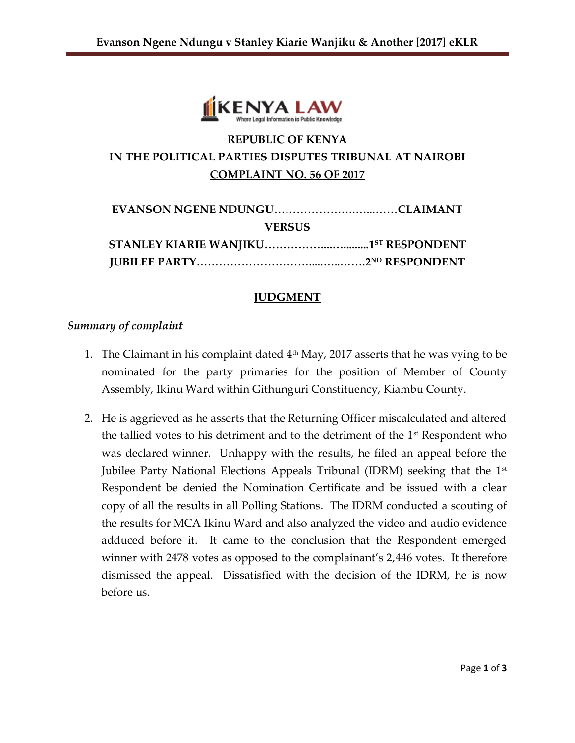

# **REPUBLIC OF KENYA IN THE POLITICAL PARTIES DISPUTES TRIBUNAL AT NAIROBI COMPLAINT NO. 56 OF 2017**

| <b>VERSUS</b> |  |  |
|---------------|--|--|
|               |  |  |
|               |  |  |

#### **JUDGMENT**

#### *Summary of complaint*

- 1. The Claimant in his complaint dated  $4<sup>th</sup>$  May, 2017 asserts that he was vying to be nominated for the party primaries for the position of Member of County Assembly, Ikinu Ward within Githunguri Constituency, Kiambu County.
- 2. He is aggrieved as he asserts that the Returning Officer miscalculated and altered the tallied votes to his detriment and to the detriment of the  $1<sup>st</sup>$  Respondent who was declared winner. Unhappy with the results, he filed an appeal before the Jubilee Party National Elections Appeals Tribunal (IDRM) seeking that the  $1<sup>st</sup>$ Respondent be denied the Nomination Certificate and be issued with a clear copy of all the results in all Polling Stations. The IDRM conducted a scouting of the results for MCA Ikinu Ward and also analyzed the video and audio evidence adduced before it. It came to the conclusion that the Respondent emerged winner with 2478 votes as opposed to the complainant's 2,446 votes. It therefore dismissed the appeal. Dissatisfied with the decision of the IDRM, he is now before us.